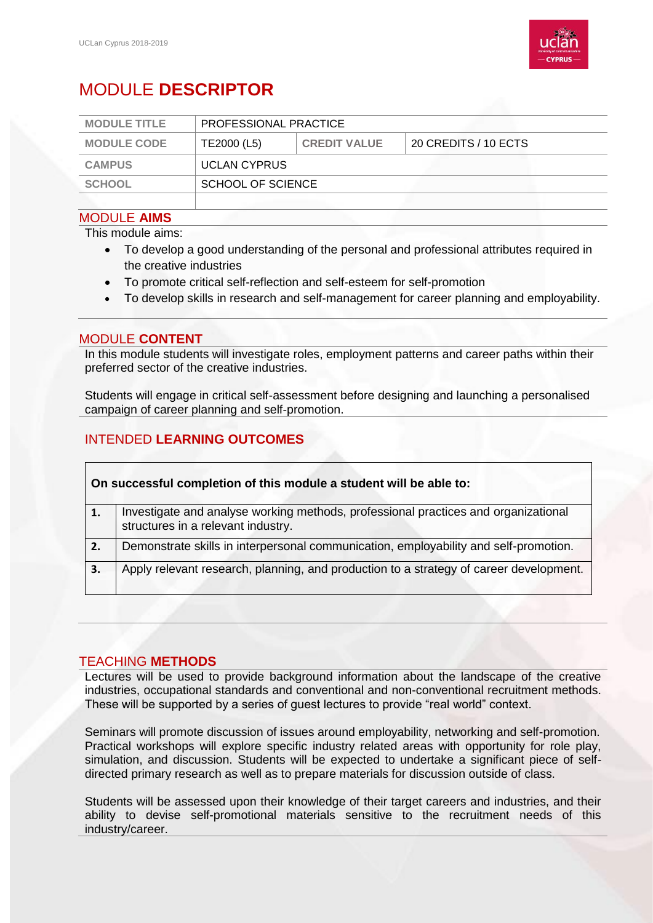

# MODULE **DESCRIPTOR**

| <b>MODULE TITLE</b> | PROFESSIONAL PRACTICE |                     |                      |  |
|---------------------|-----------------------|---------------------|----------------------|--|
| <b>MODULE CODE</b>  | TE2000 (L5)           | <b>CREDIT VALUE</b> | 20 CREDITS / 10 ECTS |  |
| <b>CAMPUS</b>       | <b>UCLAN CYPRUS</b>   |                     |                      |  |
| <b>SCHOOL</b>       | SCHOOL OF SCIENCE     |                     |                      |  |
|                     |                       |                     |                      |  |

#### MODULE **AIMS**

This module aims:

- To develop a good understanding of the personal and professional attributes required in the creative industries
- To promote critical self-reflection and self-esteem for self-promotion
- To develop skills in research and self-management for career planning and employability.

### MODULE **CONTENT**

In this module students will investigate roles, employment patterns and career paths within their preferred sector of the creative industries.

Students will engage in critical self-assessment before designing and launching a personalised campaign of career planning and self-promotion.

# INTENDED **LEARNING OUTCOMES**

| On successful completion of this module a student will be able to: |                                                                                                                          |  |  |
|--------------------------------------------------------------------|--------------------------------------------------------------------------------------------------------------------------|--|--|
| 1.                                                                 | Investigate and analyse working methods, professional practices and organizational<br>structures in a relevant industry. |  |  |
| 2.                                                                 | Demonstrate skills in interpersonal communication, employability and self-promotion.                                     |  |  |
| 3.                                                                 | Apply relevant research, planning, and production to a strategy of career development.                                   |  |  |

## TEACHING **METHODS**

Lectures will be used to provide background information about the landscape of the creative industries, occupational standards and conventional and non-conventional recruitment methods. These will be supported by a series of guest lectures to provide "real world" context.

Seminars will promote discussion of issues around employability, networking and self-promotion. Practical workshops will explore specific industry related areas with opportunity for role play, simulation, and discussion. Students will be expected to undertake a significant piece of selfdirected primary research as well as to prepare materials for discussion outside of class.

Students will be assessed upon their knowledge of their target careers and industries, and their ability to devise self-promotional materials sensitive to the recruitment needs of this industry/career.